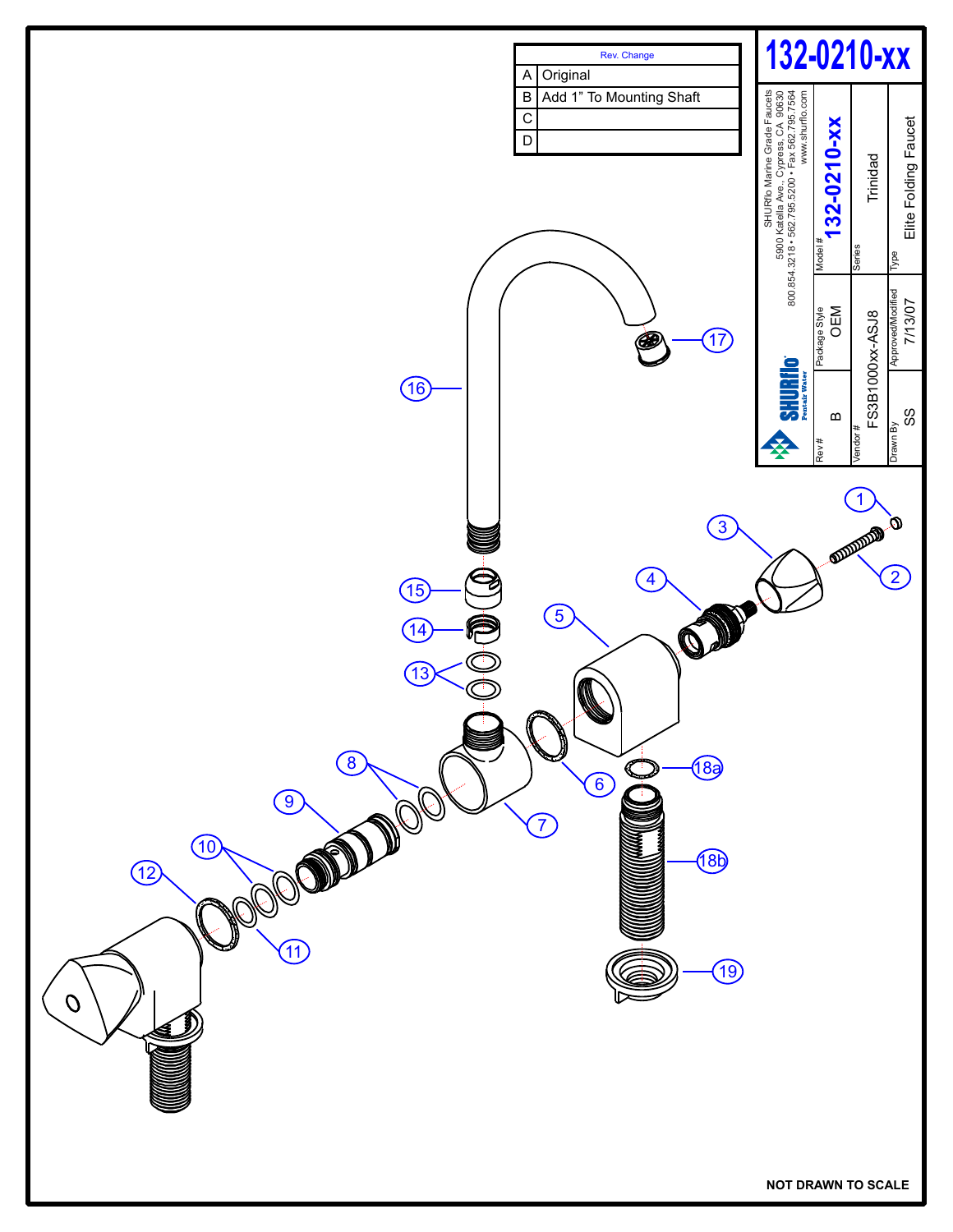